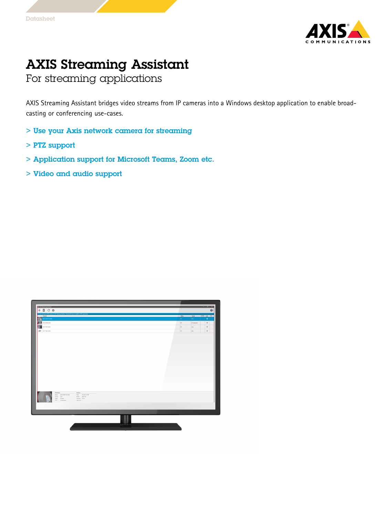

## AXIS Streaming Assistant

For streaming applications

AXIS Streaming Assistant bridges video streams from IP cameras into <sup>a</sup> Windows desktop application to enable broadcasting or conferencing use-cases.

- > Use your Axis network camera for streaming
- > PTZ support
- > Application support for Microsoft Teams, Zoom etc.
- > Video and audio support

| Ownel<br>Sale.<br>Forest<br>KTTPS Aude   PTZ<br><b>M</b> ANS ADDINESSES<br>loc.<br>[Aas]<br>۰<br><b>A ANSONNAI</b><br>loc<br>$\Phi$<br>43 Dimdedi<br>题<br>$\Phi$<br>AXIS P2067 (464)<br>los:<br>An<br>$\Phi$<br><b>CONTRACTOR</b><br>or.<br>An-<br>$\qquad \qquad \text{Device}$<br>Summary<br>Nane: AXIS AD207-VS (454) High High 172.25 127.116<br>Format: Ado<br>Note: AD27VE<br>Audio: Enabled<br>Fennan 1043<br>PTZ Unuppoted<br>Weispot 1 | $+$ $\overline{a}$ $\circ$ $\overline{\circ}$ | .<br>You are exceing the GRM version of AVIS Streaming Assistant: Channels will only be available to GRM applications |  |  |  |  |  |  |  |  | $\boldsymbol{\omega}$ |
|-------------------------------------------------------------------------------------------------------------------------------------------------------------------------------------------------------------------------------------------------------------------------------------------------------------------------------------------------------------------------------------------------------------------------------------------------|-----------------------------------------------|-----------------------------------------------------------------------------------------------------------------------|--|--|--|--|--|--|--|--|-----------------------|
|                                                                                                                                                                                                                                                                                                                                                                                                                                                 |                                               |                                                                                                                       |  |  |  |  |  |  |  |  |                       |
|                                                                                                                                                                                                                                                                                                                                                                                                                                                 |                                               |                                                                                                                       |  |  |  |  |  |  |  |  |                       |
|                                                                                                                                                                                                                                                                                                                                                                                                                                                 |                                               |                                                                                                                       |  |  |  |  |  |  |  |  |                       |
|                                                                                                                                                                                                                                                                                                                                                                                                                                                 |                                               |                                                                                                                       |  |  |  |  |  |  |  |  |                       |
|                                                                                                                                                                                                                                                                                                                                                                                                                                                 |                                               |                                                                                                                       |  |  |  |  |  |  |  |  |                       |
|                                                                                                                                                                                                                                                                                                                                                                                                                                                 |                                               |                                                                                                                       |  |  |  |  |  |  |  |  |                       |
|                                                                                                                                                                                                                                                                                                                                                                                                                                                 |                                               |                                                                                                                       |  |  |  |  |  |  |  |  |                       |